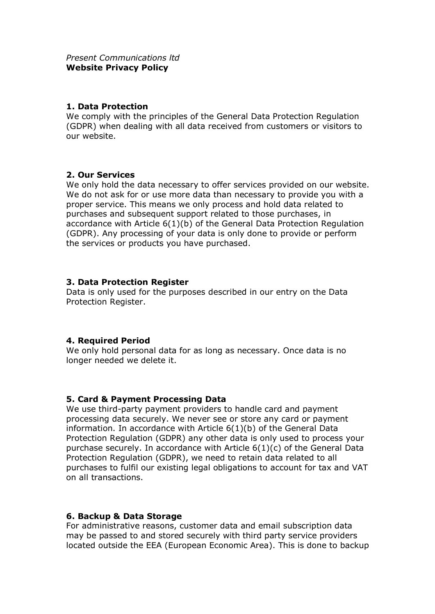#### **1. Data Protection**

We comply with the principles of the General Data Protection Regulation (GDPR) when dealing with all data received from customers or visitors to our website.

## **2. Our Services**

We only hold the data necessary to offer services provided on our website. We do not ask for or use more data than necessary to provide you with a proper service. This means we only process and hold data related to purchases and subsequent support related to those purchases, in accordance with Article 6(1)(b) of the General Data Protection Regulation (GDPR). Any processing of your data is only done to provide or perform the services or products you have purchased.

#### **3. Data Protection Register**

Data is only used for the purposes described in our entry on the Data Protection Register.

## **4. Required Period**

We only hold personal data for as long as necessary. Once data is no longer needed we delete it.

## **5. Card & Payment Processing Data**

We use third-party payment providers to handle card and payment processing data securely. We never see or store any card or payment information. In accordance with Article 6(1)(b) of the General Data Protection Regulation (GDPR) any other data is only used to process your purchase securely. In accordance with Article 6(1)(c) of the General Data Protection Regulation (GDPR), we need to retain data related to all purchases to fulfil our existing legal obligations to account for tax and VAT on all transactions.

## **6. Backup & Data Storage**

For administrative reasons, customer data and email subscription data may be passed to and stored securely with third party service providers located outside the EEA (European Economic Area). This is done to backup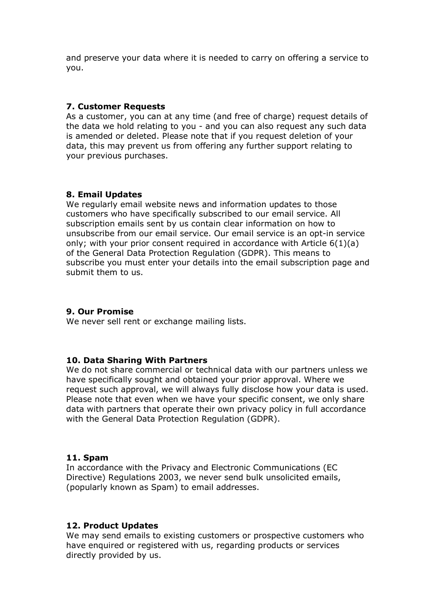and preserve your data where it is needed to carry on offering a service to you.

#### **7. Customer Requests**

As a customer, you can at any time (and free of charge) request details of the data we hold relating to you - and you can also request any such data is amended or deleted. Please note that if you request deletion of your data, this may prevent us from offering any further support relating to your previous purchases.

#### **8. Email Updates**

We regularly email website news and information updates to those customers who have specifically subscribed to our email service. All subscription emails sent by us contain clear information on how to unsubscribe from our email service. Our email service is an opt-in service only; with your prior consent required in accordance with Article 6(1)(a) of the General Data Protection Regulation (GDPR). This means to subscribe you must enter your details into the email subscription page and submit them to us.

## **9. Our Promise**

We never sell rent or exchange mailing lists.

#### **10. Data Sharing With Partners**

We do not share commercial or technical data with our partners unless we have specifically sought and obtained your prior approval. Where we request such approval, we will always fully disclose how your data is used. Please note that even when we have your specific consent, we only share data with partners that operate their own privacy policy in full accordance with the General Data Protection Regulation (GDPR).

#### **11. Spam**

In accordance with the Privacy and Electronic Communications (EC Directive) Regulations 2003, we never send bulk unsolicited emails, (popularly known as Spam) to email addresses.

#### **12. Product Updates**

We may send emails to existing customers or prospective customers who have enquired or registered with us, regarding products or services directly provided by us.